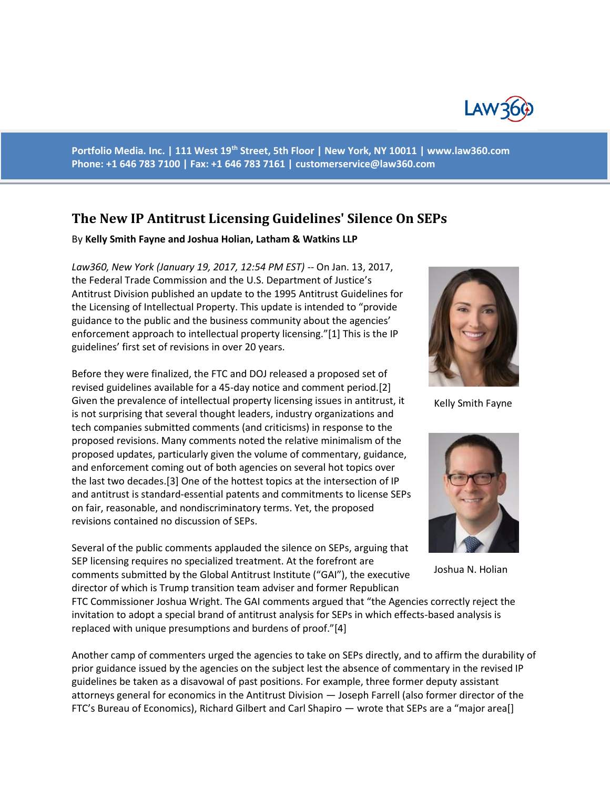

**Portfolio Media. Inc. | 111 West 19th Street, 5th Floor | New York, NY 10011 | www.law360.com Phone: +1 646 783 7100 | Fax: +1 646 783 7161 | [customerservice@law360.com](mailto:customerservice@law360.com)**

## **The New IP Antitrust Licensing Guidelines' Silence On SEPs**

By **Kelly Smith Fayne and Joshua Holian, Latham & Watkins LLP**

*Law360, New York (January 19, 2017, 12:54 PM EST) --* On Jan. 13, 2017, the Federal Trade Commission and the U.S. Department of Justice's Antitrust Division published an update to the 1995 Antitrust Guidelines for the Licensing of Intellectual Property. This update is intended to "provide guidance to the public and the business community about the agencies' enforcement approach to intellectual property licensing."[1] This is the IP guidelines' first set of revisions in over 20 years.

Before they were finalized, the FTC and DOJ released a proposed set of revised guidelines available for a 45-day notice and comment period.[2] Given the prevalence of intellectual property licensing issues in antitrust, it is not surprising that several thought leaders, industry organizations and tech companies submitted comments (and criticisms) in response to the proposed revisions. Many comments noted the relative minimalism of the proposed updates, particularly given the volume of commentary, guidance, and enforcement coming out of both agencies on several hot topics over the last two decades.[3] One of the hottest topics at the intersection of IP and antitrust is standard-essential patents and commitments to license SEPs on fair, reasonable, and nondiscriminatory terms. Yet, the proposed revisions contained no discussion of SEPs.

Several of the public comments applauded the silence on SEPs, arguing that SEP licensing requires no specialized treatment. At the forefront are comments submitted by the Global Antitrust Institute ("GAI"), the executive director of which is Trump transition team adviser and former Republican

FTC Commissioner Joshua Wright. The GAI comments argued that "the Agencies correctly reject the invitation to adopt a special brand of antitrust analysis for SEPs in which effects-based analysis is replaced with unique presumptions and burdens of proof."[4]

Another camp of commenters urged the agencies to take on SEPs directly, and to affirm the durability of prior guidance issued by the agencies on the subject lest the absence of commentary in the revised IP guidelines be taken as a disavowal of past positions. For example, three former deputy assistant attorneys general for economics in the Antitrust Division — Joseph Farrell (also former director of the FTC's Bureau of Economics), Richard Gilbert and Carl Shapiro — wrote that SEPs are a "major area[]



Kelly Smith Fayne



Joshua N. Holian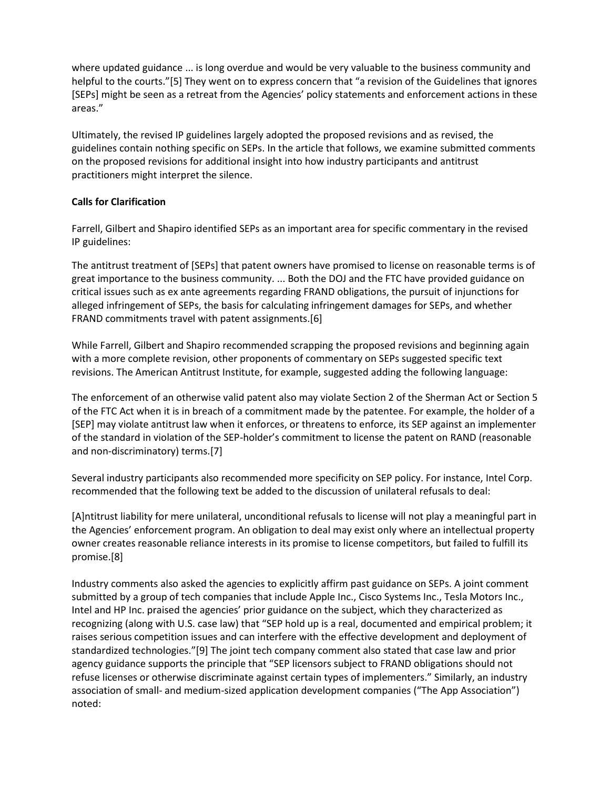where updated guidance ... is long overdue and would be very valuable to the business community and helpful to the courts."[5] They went on to express concern that "a revision of the Guidelines that ignores [SEPs] might be seen as a retreat from the Agencies' policy statements and enforcement actions in these areas."

Ultimately, the revised IP guidelines largely adopted the proposed revisions and as revised, the guidelines contain nothing specific on SEPs. In the article that follows, we examine submitted comments on the proposed revisions for additional insight into how industry participants and antitrust practitioners might interpret the silence.

## **Calls for Clarification**

Farrell, Gilbert and Shapiro identified SEPs as an important area for specific commentary in the revised IP guidelines:

The antitrust treatment of [SEPs] that patent owners have promised to license on reasonable terms is of great importance to the business community. ... Both the DOJ and the FTC have provided guidance on critical issues such as ex ante agreements regarding FRAND obligations, the pursuit of injunctions for alleged infringement of SEPs, the basis for calculating infringement damages for SEPs, and whether FRAND commitments travel with patent assignments.[6]

While Farrell, Gilbert and Shapiro recommended scrapping the proposed revisions and beginning again with a more complete revision, other proponents of commentary on SEPs suggested specific text revisions. The American Antitrust Institute, for example, suggested adding the following language:

The enforcement of an otherwise valid patent also may violate Section 2 of the Sherman Act or Section 5 of the FTC Act when it is in breach of a commitment made by the patentee. For example, the holder of a [SEP] may violate antitrust law when it enforces, or threatens to enforce, its SEP against an implementer of the standard in violation of the SEP-holder's commitment to license the patent on RAND (reasonable and non-discriminatory) terms.[7]

Several industry participants also recommended more specificity on SEP policy. For instance, Intel Corp. recommended that the following text be added to the discussion of unilateral refusals to deal:

[A]ntitrust liability for mere unilateral, unconditional refusals to license will not play a meaningful part in the Agencies' enforcement program. An obligation to deal may exist only where an intellectual property owner creates reasonable reliance interests in its promise to license competitors, but failed to fulfill its promise.[8]

Industry comments also asked the agencies to explicitly affirm past guidance on SEPs. A joint comment submitted by a group of tech companies that include Apple Inc., Cisco Systems Inc., Tesla Motors Inc., Intel and HP Inc. praised the agencies' prior guidance on the subject, which they characterized as recognizing (along with U.S. case law) that "SEP hold up is a real, documented and empirical problem; it raises serious competition issues and can interfere with the effective development and deployment of standardized technologies."[9] The joint tech company comment also stated that case law and prior agency guidance supports the principle that "SEP licensors subject to FRAND obligations should not refuse licenses or otherwise discriminate against certain types of implementers." Similarly, an industry association of small- and medium-sized application development companies ("The App Association") noted: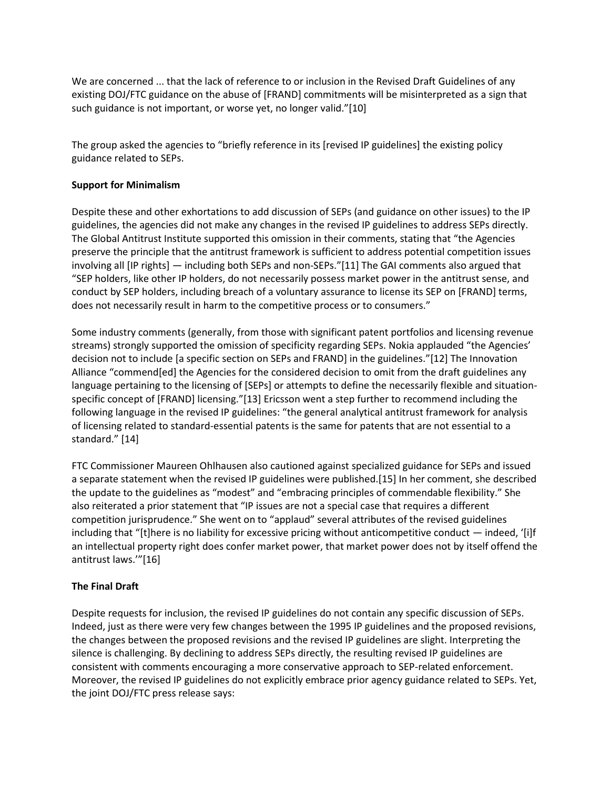We are concerned ... that the lack of reference to or inclusion in the Revised Draft Guidelines of any existing DOJ/FTC guidance on the abuse of [FRAND] commitments will be misinterpreted as a sign that such guidance is not important, or worse yet, no longer valid."[10]

The group asked the agencies to "briefly reference in its [revised IP guidelines] the existing policy guidance related to SEPs.

## **Support for Minimalism**

Despite these and other exhortations to add discussion of SEPs (and guidance on other issues) to the IP guidelines, the agencies did not make any changes in the revised IP guidelines to address SEPs directly. The Global Antitrust Institute supported this omission in their comments, stating that "the Agencies preserve the principle that the antitrust framework is sufficient to address potential competition issues involving all [IP rights] — including both SEPs and non-SEPs."[11] The GAI comments also argued that "SEP holders, like other IP holders, do not necessarily possess market power in the antitrust sense, and conduct by SEP holders, including breach of a voluntary assurance to license its SEP on [FRAND] terms, does not necessarily result in harm to the competitive process or to consumers."

Some industry comments (generally, from those with significant patent portfolios and licensing revenue streams) strongly supported the omission of specificity regarding SEPs. Nokia applauded "the Agencies' decision not to include [a specific section on SEPs and FRAND] in the guidelines."[12] The Innovation Alliance "commend[ed] the Agencies for the considered decision to omit from the draft guidelines any language pertaining to the licensing of [SEPs] or attempts to define the necessarily flexible and situationspecific concept of [FRAND] licensing."[13] Ericsson went a step further to recommend including the following language in the revised IP guidelines: "the general analytical antitrust framework for analysis of licensing related to standard-essential patents is the same for patents that are not essential to a standard." [14]

FTC Commissioner Maureen Ohlhausen also cautioned against specialized guidance for SEPs and issued a separate statement when the revised IP guidelines were published.[15] In her comment, she described the update to the guidelines as "modest" and "embracing principles of commendable flexibility." She also reiterated a prior statement that "IP issues are not a special case that requires a different competition jurisprudence." She went on to "applaud" several attributes of the revised guidelines including that "[t]here is no liability for excessive pricing without anticompetitive conduct — indeed, '[i]f an intellectual property right does confer market power, that market power does not by itself offend the antitrust laws.'"[16]

## **The Final Draft**

Despite requests for inclusion, the revised IP guidelines do not contain any specific discussion of SEPs. Indeed, just as there were very few changes between the 1995 IP guidelines and the proposed revisions, the changes between the proposed revisions and the revised IP guidelines are slight. Interpreting the silence is challenging. By declining to address SEPs directly, the resulting revised IP guidelines are consistent with comments encouraging a more conservative approach to SEP-related enforcement. Moreover, the revised IP guidelines do not explicitly embrace prior agency guidance related to SEPs. Yet, the joint DOJ/FTC press release says: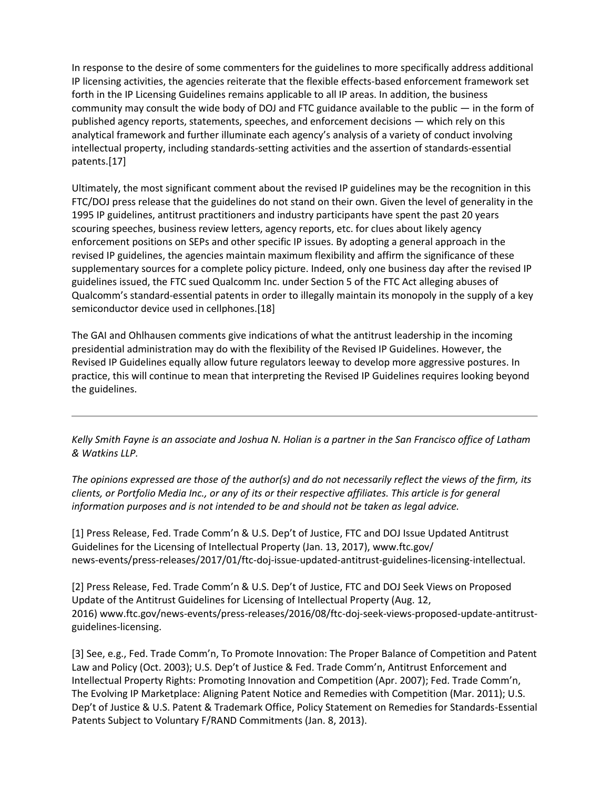In response to the desire of some commenters for the guidelines to more specifically address additional IP licensing activities, the agencies reiterate that the flexible effects-based enforcement framework set forth in the IP Licensing Guidelines remains applicable to all IP areas. In addition, the business community may consult the wide body of DOJ and FTC guidance available to the public — in the form of published agency reports, statements, speeches, and enforcement decisions — which rely on this analytical framework and further illuminate each agency's analysis of a variety of conduct involving intellectual property, including standards-setting activities and the assertion of standards-essential patents.[17]

Ultimately, the most significant comment about the revised IP guidelines may be the recognition in this FTC/DOJ press release that the guidelines do not stand on their own. Given the level of generality in the 1995 IP guidelines, antitrust practitioners and industry participants have spent the past 20 years scouring speeches, business review letters, agency reports, etc. for clues about likely agency enforcement positions on SEPs and other specific IP issues. By adopting a general approach in the revised IP guidelines, the agencies maintain maximum flexibility and affirm the significance of these supplementary sources for a complete policy picture. Indeed, only one business day after the revised IP guidelines issued, the FTC sued Qualcomm Inc. under Section 5 of the FTC Act alleging abuses of Qualcomm's standard-essential patents in order to illegally maintain its monopoly in the supply of a key semiconductor device used in cellphones.[18]

The GAI and Ohlhausen comments give indications of what the antitrust leadership in the incoming presidential administration may do with the flexibility of the Revised IP Guidelines. However, the Revised IP Guidelines equally allow future regulators leeway to develop more aggressive postures. In practice, this will continue to mean that interpreting the Revised IP Guidelines requires looking beyond the guidelines.

*Kelly Smith Fayne is an associate and Joshua N. Holian is a partner in the San Francisco office of Latham & Watkins LLP.*

*The opinions expressed are those of the author(s) and do not necessarily reflect the views of the firm, its clients, or Portfolio Media Inc., or any of its or their respective affiliates. This article is for general information purposes and is not intended to be and should not be taken as legal advice.*

[1] Press Release, Fed. Trade Comm'n & U.S. Dep't of Justice, FTC and DOJ Issue Updated Antitrust Guidelines for the Licensing of Intellectual Property (Jan. 13, 2017), www.ftc.gov/ news-events/press-releases/2017/01/ftc-doj-issue-updated-antitrust-guidelines-licensing-intellectual.

[2] Press Release, Fed. Trade Comm'n & U.S. Dep't of Justice, FTC and DOJ Seek Views on Proposed Update of the Antitrust Guidelines for Licensing of Intellectual Property (Aug. 12, 2016) www.ftc.gov/news-events/press-releases/2016/08/ftc-doj-seek-views-proposed-update-antitrustguidelines-licensing.

[3] See, e.g., Fed. Trade Comm'n, To Promote Innovation: The Proper Balance of Competition and Patent Law and Policy (Oct. 2003); U.S. Dep't of Justice & Fed. Trade Comm'n, Antitrust Enforcement and Intellectual Property Rights: Promoting Innovation and Competition (Apr. 2007); Fed. Trade Comm'n, The Evolving IP Marketplace: Aligning Patent Notice and Remedies with Competition (Mar. 2011); U.S. Dep't of Justice & U.S. Patent & Trademark Office, Policy Statement on Remedies for Standards-Essential Patents Subject to Voluntary F/RAND Commitments (Jan. 8, 2013).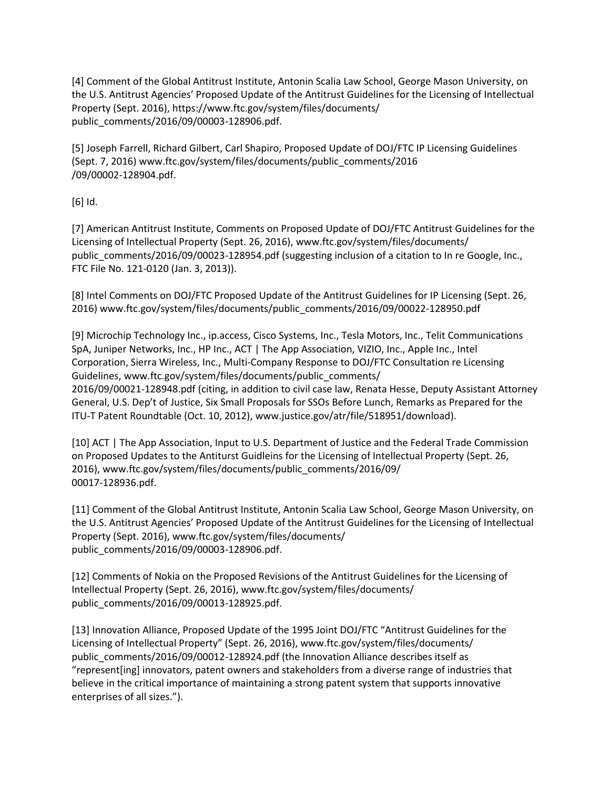[4] Comment of the Global Antitrust Institute, Antonin Scalia Law School, George Mason University, on the U.S. Antitrust Agencies' Proposed Update of the Antitrust Guidelines for the Licensing of Intellectual Property (Sept. 2016), https://www.ftc.gov/system/files/documents/ public\_comments/2016/09/00003-128906.pdf.

[5] Joseph Farrell, Richard Gilbert, Carl Shapiro, Proposed Update of DOJ/FTC IP Licensing Guidelines (Sept. 7, 2016) www.ftc.gov/system/files/documents/public\_comments/2016 /09/00002-128904.pdf.

[6] Id.

[7] American Antitrust Institute, Comments on Proposed Update of DOJ/FTC Antitrust Guidelines for the Licensing of Intellectual Property (Sept. 26, 2016), www.ftc.gov/system/files/documents/ public comments/2016/09/00023-128954.pdf (suggesting inclusion of a citation to In re Google, Inc., FTC File No. 121-0120 (Jan. 3, 2013)).

[8] Intel Comments on DOJ/FTC Proposed Update of the Antitrust Guidelines for IP Licensing (Sept. 26, 2016) www.ftc.gov/system/files/documents/public\_comments/2016/09/00022-128950.pdf

[9] Microchip Technology Inc., ip.access, Cisco Systems, Inc., Tesla Motors, Inc., Telit Communications SpA, Juniper Networks, Inc., HP Inc., ACT | The App Association, VIZIO, Inc., Apple Inc., Intel Corporation, Sierra Wireless, Inc., Multi-Company Response to DOJ/FTC Consultation re Licensing Guidelines, www.ftc.gov/system/files/documents/public\_comments/ 2016/09/00021-128948.pdf (citing, in addition to civil case law, Renata Hesse, Deputy Assistant Attorney General, U.S. Dep't of Justice, Six Small Proposals for SSOs Before Lunch, Remarks as Prepared for the ITU-T Patent Roundtable (Oct. 10, 2012), www.justice.gov/atr/file/518951/download).

[10] ACT | The App Association, Input to U.S. Department of Justice and the Federal Trade Commission on Proposed Updates to the Antiturst Guidleins for the Licensing of Intellectual Property (Sept. 26, 2016), www.ftc.gov/system/files/documents/public\_comments/2016/09/ 00017-128936.pdf.

[11] Comment of the Global Antitrust Institute, Antonin Scalia Law School, George Mason University, on the U.S. Antitrust Agencies' Proposed Update of the Antitrust Guidelines for the Licensing of Intellectual Property (Sept. 2016), www.ftc.gov/system/files/documents/ public\_comments/2016/09/00003-128906.pdf.

[12] Comments of Nokia on the Proposed Revisions of the Antitrust Guidelines for the Licensing of Intellectual Property (Sept. 26, 2016), www.ftc.gov/system/files/documents/ public\_comments/2016/09/00013-128925.pdf.

[13] Innovation Alliance, Proposed Update of the 1995 Joint DOJ/FTC "Antitrust Guidelines for the Licensing of Intellectual Property" (Sept. 26, 2016), www.ftc.gov/system/files/documents/ public\_comments/2016/09/00012-128924.pdf (the Innovation Alliance describes itself as "represent[ing] innovators, patent owners and stakeholders from a diverse range of industries that believe in the critical importance of maintaining a strong patent system that supports innovative enterprises of all sizes.").